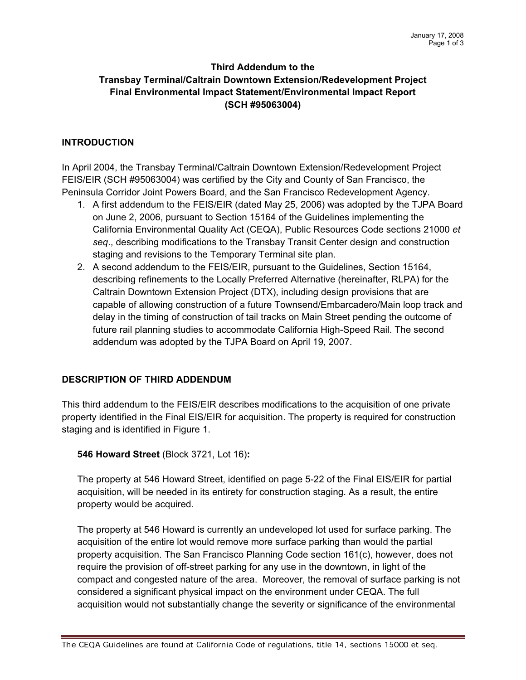# Third Addendum to the TransbayTerminal/Caltrain Downtown Extension/Redevelopment Project Final Environmental Impact Statement/Environmental Impact Report (SCH #95063004)

### INTRODUCTION

In April 2004, the Transbay Terminal/Caltrain Downtown Extension/Redevelopment Project FEIS/EIR (SCH #95063004) was certified by the City and County of San Francisco, the Peninsula Corridor Joint Powers Board, and the San Francisco Redevelopment Agency.

- 1. A first addendum to the FEIS/EIR (dated May 25, 2006) was adopted by the TJPA Board on June 2, 2006, pursuant to Section 15164 of the Guidelines implementing the California Environmental Quality Act (CEQA), Public Resources Code sections 21000 et seq., describing modifications to the Transbay Transit Center design and construction staging and revisions to the Temporary Terminal site plan.
- 2. A second addendum to the FEIS/EIR, pursuant to the Guidelines, Section 15164, describing refinements to the Locally Preferred Alternative (hereinafter, RLPA) for the Caltrain Downtown Extension Project (DTX), including design provisions that are capable of allowing construction of a future Townsend/Embarcadero/Main loop track and delay in the timing of construction of tail tracks on Main Street pending the outcome of future rail planning studies to accommodate California High-Speed Rail. The second addendum was adopted by the TJPA Board on April 19, 2007.

# DESCRIPTION OF THIRD ADDENDUM

This third addendum to the FEIS/EIR describes modifications to the acquisition ofone private property identified in the Final EIS/EIR for acquisition.The property is required for construction staging and is identified in Figure 1.

### **546 Howard Street (Block 3721, Lot 16):**

The property at 546 Howard Street, identified on page 5-22 of the Final EIS/EIR for partial acquisition, will be needed in its entirety for construction staging. As a result, the entire property would be acquired.

The property at 546 Howard is currently an undeveloped lot used for surface parking. The acquisition of the entire lot would remove more surface parking than would the partial property acquisition. The San Francisco Planning Code section 161(c), however, does not require the provision of off-street parking for any use in the downtown, in light of the compact and congested nature of the area. Moreover, the removal of surface parking is not considered a significant physical impact on the environment under CEQA.The full acquisition would not substantially change the severity or significance of the environmental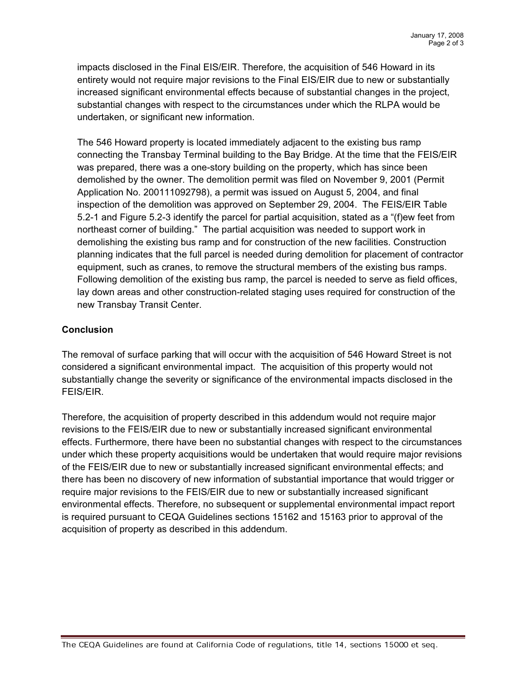impacts disclosed in the Final EIS/EIR. Therefore, the acquisition of 546 Howard in its entirety would not require major revisions to the Final EIS/EIR due to new or substantially increased significant environmental effects because of substantial changes in the project, substantial changes with respect to the circumstances under which the RLPA would be undertaken, or significant new information.

The 546 Howard property is located immediately adjacent to the existing bus ramp connecting the Transbay Terminal building to the Bay Bridge. At the time that the FEIS/EIR was prepared, there was a one-story building on the property, which has since been demolished by the owner. The demolition permit was filed on November 9, 2001 (Permit Application No. 200111092798), a permit was issued on August 5, 2004, and final inspection of the demolition was approved on September 29, 2004. The FEIS/EIR Table 5.2-1 and Figure 5.2-3 identify the parcel for partial acquisition, stated as a "(f)ew feet from northeast corner of building." The partial acquisition was needed to support work in demolishing the existing bus ramp and for construction of the new facilities. Construction planning indicates that the full parcel is needed during demolition for placement of contractor equipment, such as cranes, to remove the structural members of the existing bus ramps. Following demolition of the existing bus ramp, the parcel is needed to serve as field offices, lay down areas and other construction-related staging uses required for construction of the new Transbay Transit Center.

### Conclusion

The removal of surface parking that will occur with the acquisition of 546 Howard Street is not considered a significant environmental impact. The acquisition of this property would not substantially change the severity or significance of the environmental impacts disclosed in the FEIS/EIR.

Therefore, the acquisition of property described in this addendum would not require major revisions to the FEIS/EIR due to new or substantially increased significant environmental effects. Furthermore, there have been no substantial changes with respect to the circumstances under which these property acquisitions would be undertaken that would require major revisions of the FEIS/EIR due to new or substantially increased significant environmental effects; and there has been no discovery of new information of substantial importance that would trigger or require major revisions to the FEIS/EIR due to new or substantially increased significant environmental effects. Therefore, no subsequent or supplemental environmental impact report is required pursuant to CEQA Guidelines sections 15162 and 15163 prior to approval of the acquisition of property as described in this addendum.